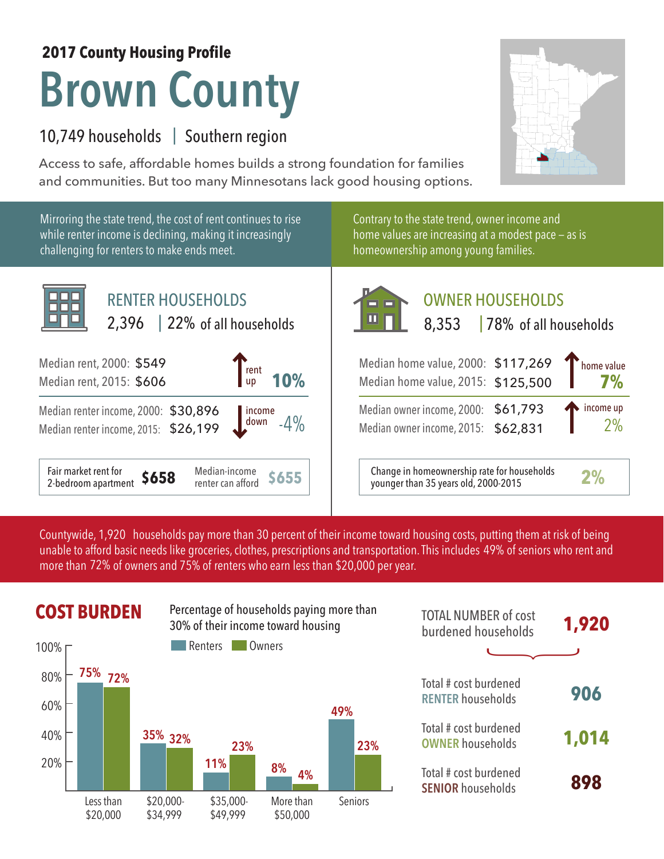## **Brown County 2017 County Housing Profile**

## 10,749 households | Southern region

Access to safe, affordable homes builds a strong foundation for families and communities. But too many Minnesotans lack good housing options.



Countywide, 1,920 households pay more than 30 percent of their income toward housing costs, putting them at risk of being unable to afford basic needs like groceries, clothes, prescriptions and transportation. This includes 49% of seniors who rent and more than 72% of owners and 75% of renters who earn less than \$20,000 per year.



| <b>TOTAL NUMBER of cost</b><br>burdened households | 1,920 |
|----------------------------------------------------|-------|
|                                                    |       |
| Total # cost burdened<br><b>RENTER households</b>  | 906   |
| Total # cost burdened<br><b>OWNER households</b>   | 1,014 |
| Total # cost burdened<br><b>SENIOR households</b>  | 898   |